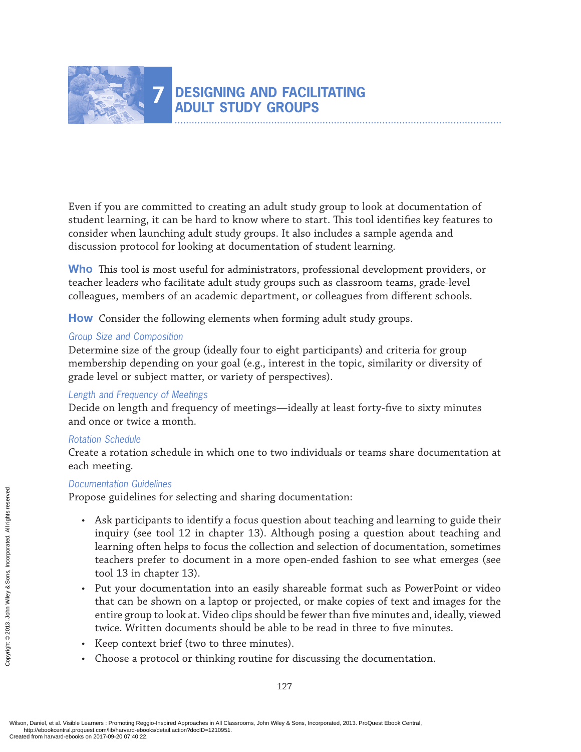

Even if you are committed to creating an adult study group to look at documentation of student learning, it can be hard to know where to start. This tool identifies key features to consider when launching adult study groups. It also includes a sample agenda and discussion protocol for looking at documentation of student learning.

Who This tool is most useful for administrators, professional development providers, or teacher leaders who facilitate adult study groups such as classroom teams, grade-level colleagues, members of an academic department, or colleagues from different schools.

**How** Consider the following elements when forming adult study groups.

### *Group Size and Composition*

Determine size of the group (ideally four to eight participants) and criteria for group membership depending on your goal (e.g., interest in the topic, similarity or diversity of grade level or subject matter, or variety of perspectives).

## *Length and Frequency of Meetings*

Decide on length and frequency of meetings—ideally at least forty-five to sixty minutes and once or twice a month.

## *Rotation Schedule*

Create a rotation schedule in which one to two individuals or teams share documentation at each meeting.

## *Documentation Guidelines*

Propose guidelines for selecting and sharing documentation:

- Ask participants to identify a focus question about teaching and learning to guide their inquiry (see tool 12 in chapter 13). Although posing a question about teaching and learning often helps to focus the collection and selection of documentation, sometimes teachers prefer to document in a more open-ended fashion to see what emerges (see tool 13 in chapter 13). Experimental of the propose guideline<br>
Fropose guideline<br>
inquiry (see<br>
learning off<br>
teachers pr<br>
tool 13 in c<br>
es sons and that can be<br>
entire group<br>
twice. Writ<br>
Experimental of the controllation wavelend.<br>
Keep content
	- Put your documentation into an easily shareable format such as PowerPoint or video that can be shown on a laptop or projected, or make copies of text and images for the entire group to look at. Video clips should be fewer than five minutes and, ideally, viewed twice. Written documents should be able to be read in three to five minutes.
	- Keep context brief (two to three minutes).
	- Choose a protocol or thinking routine for discussing the documentation.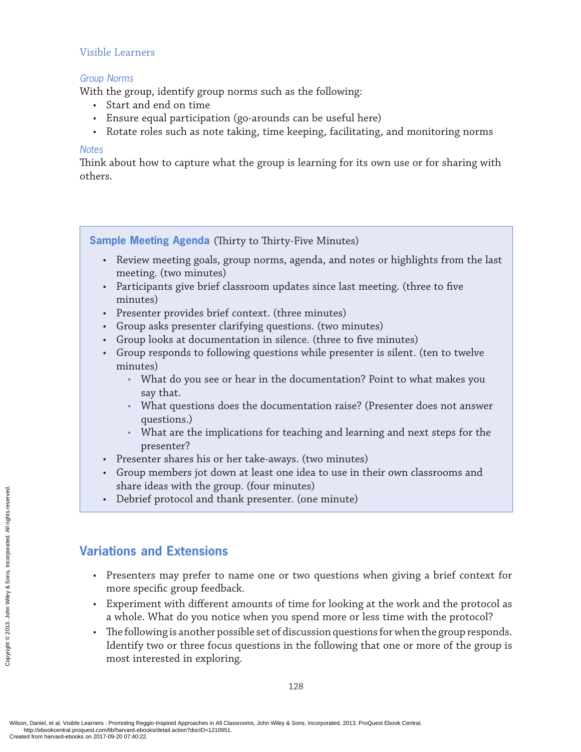#### Visible Learners

#### *Group Norms*

With the group, identify group norms such as the following:

- Start and end on time
- Ensure equal participation (go-arounds can be useful here)
- Rotate roles such as note taking, time keeping, facilitating, and monitoring norms

#### *Notes*

Think about how to capture what the group is learning for its own use or for sharing with others.

**Sample Meeting Agenda** (Thirty to Thirty-Five Minutes)

- Review meeting goals, group norms, agenda, and notes or highlights from the last meeting. (two minutes)
- Participants give brief classroom updates since last meeting. (three to five minutes)
- Presenter provides brief context. (three minutes)
- Group asks presenter clarifying questions. (two minutes)
- Group looks at documentation in silence. (three to five minutes)
- Group responds to following questions while presenter is silent. (ten to twelve minutes)
	- What do you see or hear in the documentation? Point to what makes you say that.
	- What questions does the documentation raise? (Presenter does not answer questions.)
	- What are the implications for teaching and learning and next steps for the presenter?
- Presenter shares his or her take-aways. (two minutes)
- Group members jot down at least one idea to use in their own classrooms and share ideas with the group. (four minutes)
- Debrief protocol and thank presenter. (one minute)

# **Variations and Extensions**

- Presenters may prefer to name one or two questions when giving a brief context for more specific group feedback.
- Experiment with different amounts of time for looking at the work and the protocol as a whole. What do you notice when you spend more or less time with the protocol?
- The following is another possible set of discussion questions for when the group responds. Identify two or three focus questions in the following that one or more of the group is most interested in exploring.